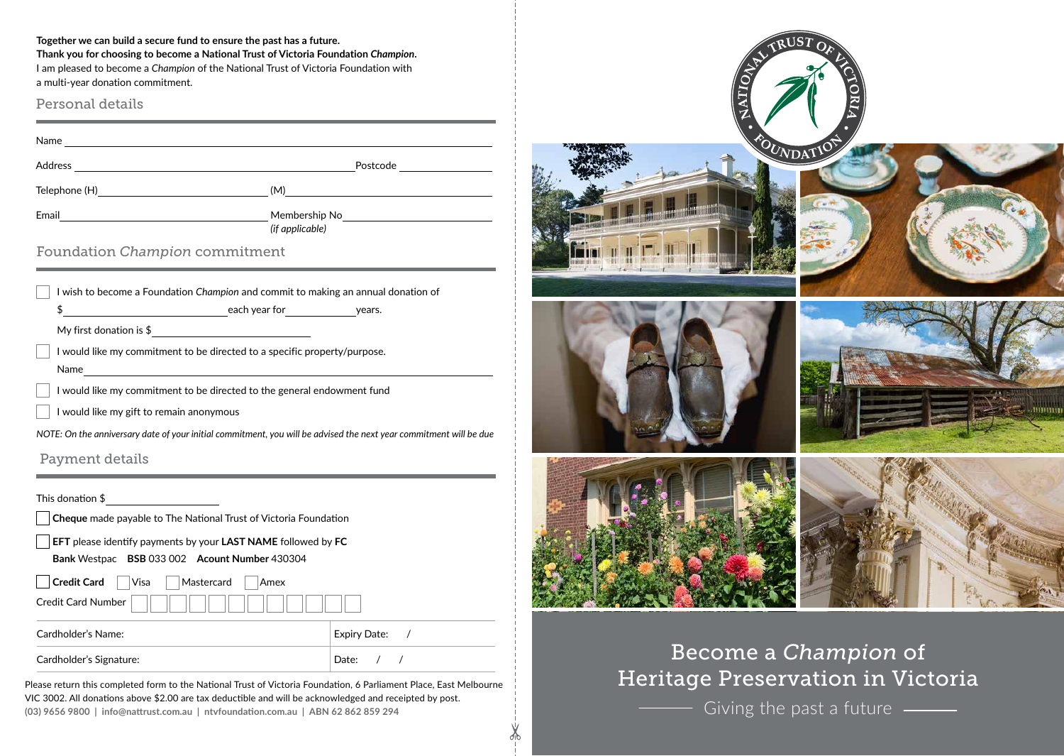**Together we can build a secure fund to ensure the past has a future.** 

**Thank you for choosing to become a National Trust of Victoria Foundation** *Champion***.**  I am pleased to become a *Champion* of the National Trust of Victoria Foundation with a multi-year donation commitment.

Personal details

Name and the contract of the contract of the contract of the contract of the contract of the contract of the contract of the contract of the contract of the contract of the contract of the contract of the contract of the c Address Postcode Telephone (H) (M) Email Membership No *(if applicable)*

Foundation *Champion* commitment

| I wish to become a Foundation Champion and commit to making an annual donation of |               |        |  |
|-----------------------------------------------------------------------------------|---------------|--------|--|
|                                                                                   | each year for | vears. |  |
| My first donation is $$$                                                          |               |        |  |
| I would like my commitment to be directed to a specific property/purpose.         |               |        |  |
| Name                                                                              |               |        |  |

I would like my commitment to be directed to the general endowment fund

I would like my gift to remain anonymous

*NOTE: On the anniversary date of your initial commitment, you will be advised the next year commitment will be due*

Payment details

This donation \$

| $\Box$ EFT please identify payments by your LAST NAME followed by FC |  |                                               |  |  |
|----------------------------------------------------------------------|--|-----------------------------------------------|--|--|
|                                                                      |  | Bank Westpac BSB 033 002 Acount Number 430304 |  |  |

**Credit Card** Visa Mastercard Amex Credit Card Number Cardholder's Name: Expiry Date: / Cardholder's Signature: Date:  $/$  /

Please return this completed form to the National Trust of Victoria Foundation, 6 Parliament Place, East Melbourne VIC 3002. All donations above \$2.00 are tax deductible and will be acknowledged and receipted by post. **(03) 9656 9800 | info@nattrust.com.au | ntvfoundation.com.au | ABN 62 862 859 294** 

∦



Become a *Champion* of Heritage Preservation in Victoria

Giving the past a future  $\frac{1}{\sqrt{1-\frac{1}{\sqrt{1-\frac{1}{\sqrt{1-\frac{1}{\sqrt{1-\frac{1}{\sqrt{1-\frac{1}{\sqrt{1-\frac{1}{\sqrt{1-\frac{1}{\sqrt{1-\frac{1}{\sqrt{1-\frac{1}{\sqrt{1-\frac{1}{\sqrt{1-\frac{1}{\sqrt{1-\frac{1}{\sqrt{1-\frac{1}{\sqrt{1-\frac{1}{\sqrt{1-\frac{1}{\sqrt{1-\frac{1}{\sqrt{1-\frac{1}{\sqrt{1-\frac{1}{\sqrt{1-\frac{1}{\sqrt{1-\frac{1}{\sqrt{1-\frac{1}{\sqrt$